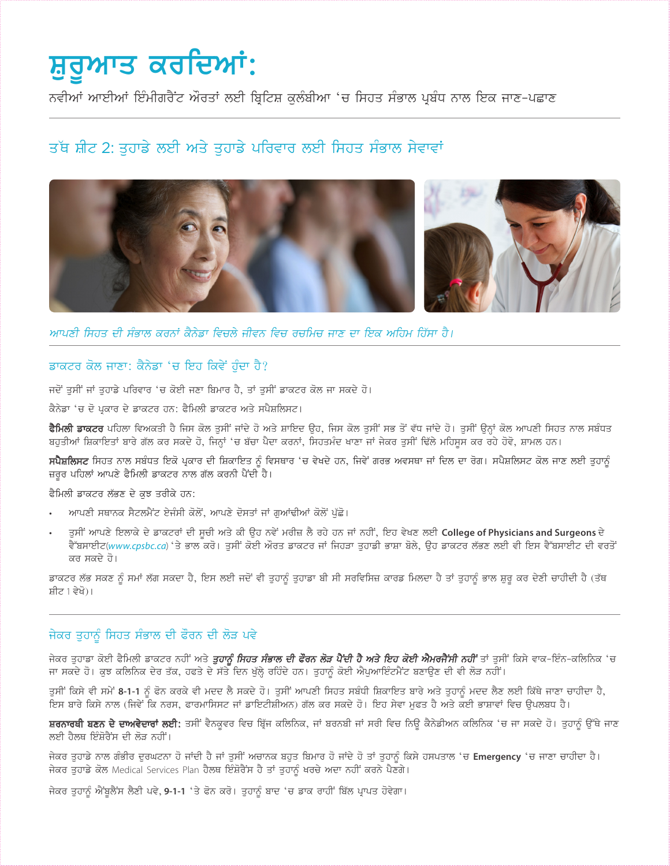# ਸ਼ੁਰੂਆਤ ਕਰਦਿਆਂ:

ਨਵੀਆਂ ਆਈਆਂ ਇੰਮੀਗਰੈਂਟ ਔਰਤਾਂ ਲਈ ਬ੍ਰਿਟਿਸ਼ ਕਲੰਬੀਆ 'ਚ ਸਿਹਤ ਸੰਭਾਲ ਪ੍ਰਬੰਧ ਨਾਲ ਇਕ ਜਾਣ-ਪਛਾਣ

# ਤੱਥ ਸ਼ੀਟ 2: ਤਹਾਡੇ ਲਈ ਅਤੇ ਤਹਾਡੇ ਪਰਿਵਾਰ ਲਈ ਸਿਹਤ ਸੰਭਾਲ ਸੇਵਾਵਾਂ



ਆਪਣੀ ਸਿਹਤ ਦੀ ਸੰਭਾਲ ਕਰਨਾਂ ਕੈਨੇਡਾ ਵਿਚਲੇ ਜੀਵਨ ਵਿਚ ਰਚਮਿਚ ਜਾਣ ਦਾ ਇਕ ਅਹਿਮ ਹਿੱਸਾ ਹੈ।

#### ਡਾਕਟਰ ਕੋਲ ਜਾਣਾ: ਕੈਨੇਡਾ 'ਚ ਇਹ ਕਿਵੇਂ ਹੁੰਦਾ ਹੈ?

ਜਦੋਂ ਤੁਸੀਂ ਜਾਂ ਤੁਹਾਡੇ ਪਰਿਵਾਰ 'ਚ ਕੋਈ ਜਣਾ ਬਿਮਾਰ ਹੈ, ਤਾਂ ਤੁਸੀਂ ਡਾਕਟਰ ਕੋਲ ਜਾ ਸਕਦੇ ਹੋ।

ਕੈਨੇਡਾ 'ਚ ਦੋ ਪ੍ਰਕਾਰ ਦੇ ਡਾਕਟਰ ਹਨ: ਫੈਮਿਲੀ ਡਾਕਟਰ ਅਤੇ ਸਪੈਸ਼ਲਿਸਟ।

**ਫੈਮਿਲੀ ਡਾਕਟਰ** ਪਹਿਲਾ ਵਿਅਕਤੀ ਹੈ ਜਿਸ ਕੋਲ ਤੁਸੀਂ ਜਾਂਦੇ ਹੋ ਅਤੇ ਸ਼ਾਇਦ ਉਹ, ਜਿਸ ਕੋਲ ਤੁਸੀਂ ਸਭ ਤੋਂ ਵੱਧ ਜਾਂਦੇ ਹੋ। ਤੁਸੀਂ ਉਨ੍ਹਾਂ ਕੋਲ ਆਪਣੀ ਸਿਹਤ ਨਾਲ ਸਬੰਧਤ ਬਹਤੀਆਂ ਸ਼ਿਕਾਇਤਾਂ ਬਾਰੇ ਗੱਲ ਕਰ ਸਕਦੇ ਹੋ, ਜਿਨ੍ਹਾਂ 'ਚ ਬੱਚਾ ਪੈਦਾ ਕਰਨਾਂ, ਸਿਹਤਮੰਦ ਖਾਣਾ ਜਾਂ ਜੇਕਰ ਤਸੀਂ ਢਿੱਲੇ ਮਹਿਸਸ ਕਰ ਰਹੇ ਹੋਵੋ, ਸ਼ਾਮਲ ਹਨ।

ਸਪੈਸ਼ਲਿਸਟ ਸਿਹਤ ਨਾਲ ਸਬੰਧਤ ਇਕੋ ਪ੍ਰਕਾਰ ਦੀ ਸ਼ਿਕਾਇਤ ਨੂੰ ਵਿਸਥਾਰ 'ਚ ਵੇਖਦੇ ਹਨ, ਜਿਵੇਂ ਗਰਭ ਅਵਸਥਾ ਜਾਂ ਦਿਲ ਦਾ ਰੋਗ। ਸਪੈਸ਼ਲਿਸਟ ਕੋਲ ਜਾਣ ਲਈ ਤੁਹਾਨੂੰ ਜ਼ਰੂਰ ਪਹਿਲਾਂ ਆਪਣੇ ਫੈਮਿਲੀ ਡਾਕਟਰ ਨਾਲ ਗੱਲ ਕਰਨੀ ਪੈਂਦੀ ਹੈ।

ਫੈਮਿਲੀ ਡਾਕਟਰ ਲੱਭਣ ਦੇ ਕਝ ਤਰੀਕੇ ਹਨ:

- ਆਪਣੀ ਸਥਾਨਕ ਸੈਟਲਮੈਂਟ ਏਜੰਸੀ ਕੋਲੋਂ, ਆਪਣੇ ਦੋਸਤਾਂ ਜਾਂ ਗਆਂਢੀਆਂ ਕੋਲੋਂ ਪੱਛੇ।
- ਤੁਸੀਂ ਆਪਣੇ ਇਲਾਕੇ ਦੇ ਡਾਕਟਰਾਂ ਦੀ ਸੂਚੀ ਅਤੇ ਕੀ ਉਹ ਨਵੇਂ ਮਰੀਜ਼ ਲੈ ਰਹੇ ਹਨ ਜਾਂ ਨਹੀਂ, ਇਹ ਵੇਖਣ ਲਈ College of Physicians and Surgeons ਦੇ ਵੈੱਬਸਾਈਟ(www.cpsbc.ca) 'ਤੇ ਭਾਲ ਕਰੋ। ਤੁਸੀਂ ਕੋਈ ਔਰਤ ਡਾਕਟਰ ਜਾਂ ਜਿਹੜਾ ਤੁਹਾਡੀ ਭਾਸ਼ਾ ਬੋਲੇ, ਉਹ ਡਾਕਟਰ ਲੱਭਣ ਲਈ ਵੀ ਇਸ ਵੈੱਬਸਾਈਟ ਦੀ ਵਰਤੋਂ ਕਰ ਸਕਦੇ ਹੋ।

ਡਾਕਟਰ ਲੱਭ ਸਕਣ ਨੂੰ ਸਮਾਂ ਲੱਗ ਸਕਦਾ ਹੈ, ਇਸ ਲਈ ਜਦੋਂ ਵੀ ਤੁਹਾਨੂੰ ਤੁਹਾਡਾ ਬੀ ਸੀ ਸਰਵਿਸਿਜ਼ ਕਾਰਡ ਮਿਲਦਾ ਹੈ ਤਾਂ ਤੁਹਾਨੂੰ ਭਾਲ ਸ਼ੁਰੂ ਕਰ ਦੇਣੀ ਚਾਹੀਦੀ ਹੈ (ਤੱਥ ਸ਼ੀਟ 1 ਵੇਖੋ)।

#### ਜੇਕਰ ਤੁਹਾਨੂੰ ਸਿਹਤ ਸੰਭਾਲ ਦੀ ਫੌਰਨ ਦੀ ਲੋੜ ਪਵੇ

ਜੇਕਰ ਤੁਹਾਡਾ ਕੋਈ ਫੈਮਿਲੀ ਡਾਕਟਰ ਨਹੀਂ ਅਤੇ **ਤੁਹਾਨੂੰ ਸਿਹਤ ਸੰਭਾਲ ਦੀ ਫੌਰਨ ਲੋੜ ਪੈਂਦੀ ਹੈ ਅਤੇ ਇਹ ਕੋਈ ਐਮਰਜੈਂਸੀ ਨਹੀਂ** ਤਾਂ ਤੁਸੀਂ ਕਿਸੇ ਵਾਕ-ਇੰਨ-ਕਲਿਨਿਕ 'ਚ ਜਾ ਸਕਦੇ ਹੋ। ਕੁਝ ਕਲਿਨਿਕ ਦੇਰ ਤੱਕ, ਹਫਤੇ ਦੇ ਸੱਤੇ ਦਿਨ ਖੁੱਲ੍ਹੇ ਰਹਿੰਦੇ ਹਨ। ਤੁਹਾਨੂੰ ਕੋਈ ਐਪੁਆਇੰਟਮੈਂਟ ਬਣਾਉਣ ਦੀ ਵੀ ਲੋੜ ਨਹੀਂ।

ਤੁਸੀਂ ਕਿਸੇ ਵੀ ਸਮੇਂ 8-1-1 ਨੂੰ ਫੋਨ ਕਰਕੇ ਵੀ ਮਦਦ ਲੈ ਸਕਦੇ ਹੋ। ਤੁਸੀਂ ਆਪਣੀ ਸਿਹਤ ਸਬੰਧੀ ਸ਼ਿਕਾਇਤ ਬਾਰੇ ਅਤੇ ਤੁਹਾਨੂੰ ਮਦਦ ਲੈਣ ਲਈ ਕਿੱਥੇ ਜਾਣਾ ਚਾਹੀਦਾ ਹੈ, ਇਸ ਬਾਰੇ ਕਿਸੇ ਨਾਲ (ਜਿਵੇਂ ਕਿ ਨਰਸ, ਫਾਰਮਾਸਿਸਟ ਜਾਂ ਡਾਇਟੀਸ਼ੀਅਨ) ਗੱਲ ਕਰ ਸਕਦੇ ਹੋ। ਇਹ ਸੇਵਾ ਮੁਫਤ ਹੈ ਅਤੇ ਕਈ ਭਾਸ਼ਾਵਾਂ ਵਿਚ ੳਪਲਬਧ ਹੈ।

ਸ਼ਰਨਾਰਥੀ ਬਣਨ ਦੇ ਦਾਅਵੇਦਾਰਾਂ ਲਈ: ਤਸੀਂ ਵੈਨਕੁਵਰ ਵਿਚ ਬ੍ਰਿੱਜ ਕਲਿਨਿਕ, ਜਾਂ ਬਰਨਬੀ ਜਾਂ ਸਰੀ ਵਿਚ ਨਿਊ ਕੈਨੇਡੀਅਨ ਕਲਿਨਿਕ 'ਚ ਜਾ ਸਕਦੇ ਹੋ। ਤੁਹਾਨੂੰ ਉੱਥੇ ਜਾਣ ਲਈ ਹੈਲਥ ਇੰਸੋਰੈਂਸ ਦੀ ਲੋੜ ਨਹੀਂ।

ਜੇਕਰ ਤੁਹਾਡੇ ਨਾਲ ਗੰਭੀਰ ਦੁਰਘਟਨਾ ਹੋ ਜਾਂਦੀ ਹੈ ਜਾਂ ਤੁਸੀਂ ਅਚਾਨਕ ਬਹੁਤ ਬਿਮਾਰ ਹੋ ਜਾਂਦੇ ਹੋ ਤਾਂ ਤੁਹਾਨੂੰ ਕਿਸੇ ਹਸਪਤਾਲ 'ਚ Emergency 'ਚ ਜਾਣਾ ਚਾਹੀਦਾ ਹੈ। ਜੇਕਰ ਤੁਹਾਡੇ ਕੋਲ Medical Services Plan ਹੈਲਥ ਇੰਸ਼ੋਰੈਂਸ ਹੈ ਤਾਂ ਤੁਹਾਨੂੰ ਖਰਚੇ ਅਦਾ ਨਹੀਂ ਕਰਨੇ ਪੈਣਗੇ।

ਜੇਕਰ ਤੁਹਾਨੂੰ ਐਂਬੂਲੈਂਸ ਲੈਣੀ ਪਵੇ, 9-1-1 'ਤੇ ਫੋਨ ਕਰੋ। ਤੁਹਾਨੂੰ ਬਾਦ 'ਚ ਡਾਕ ਰਾਹੀਂ ਬਿੱਲ ਪ੍ਰਾਪਤ ਹੋਵੇਗਾ।